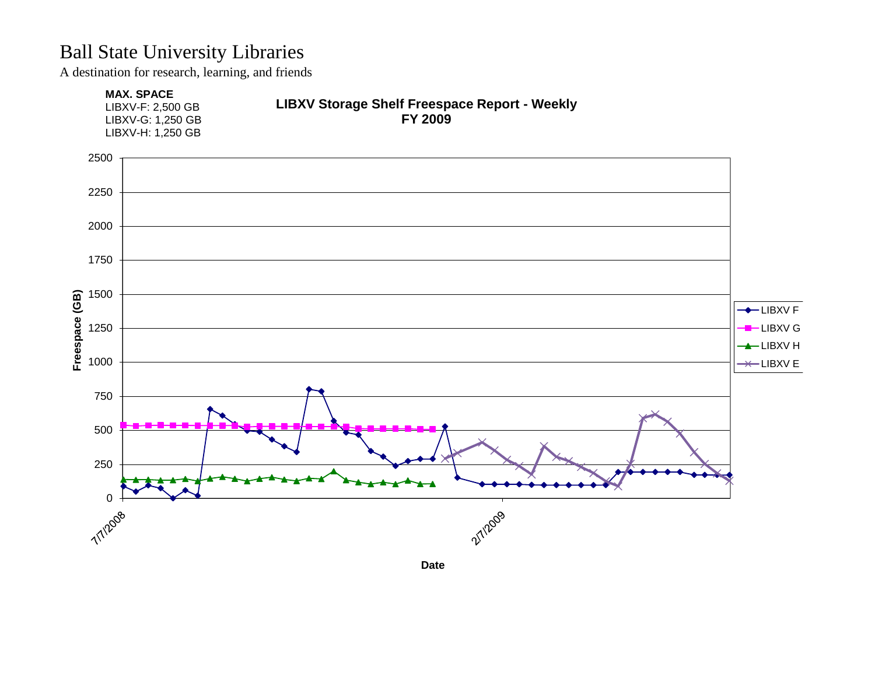A destination for research, learning, and friends

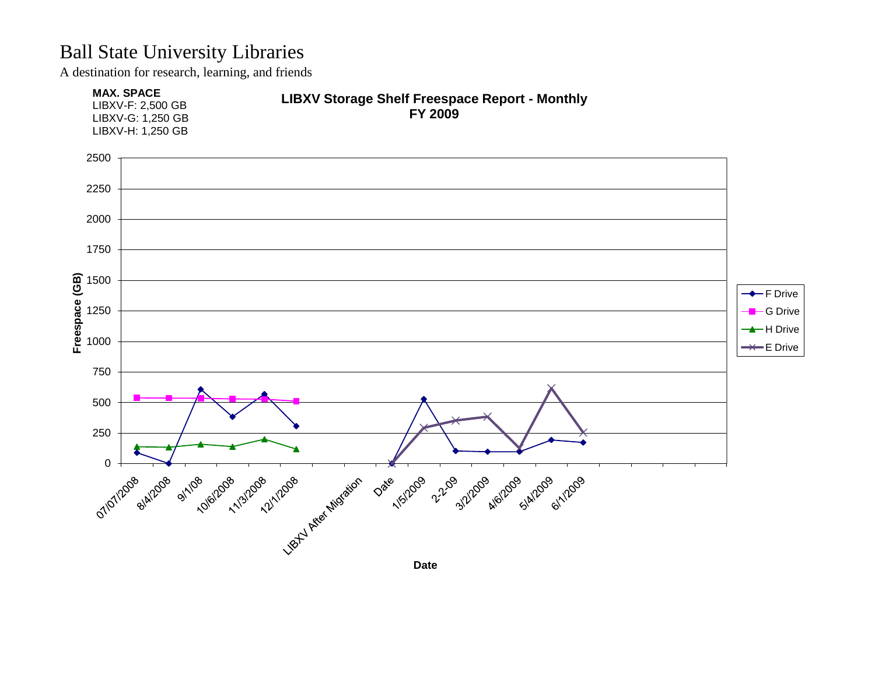A destination for research, learning, and friends

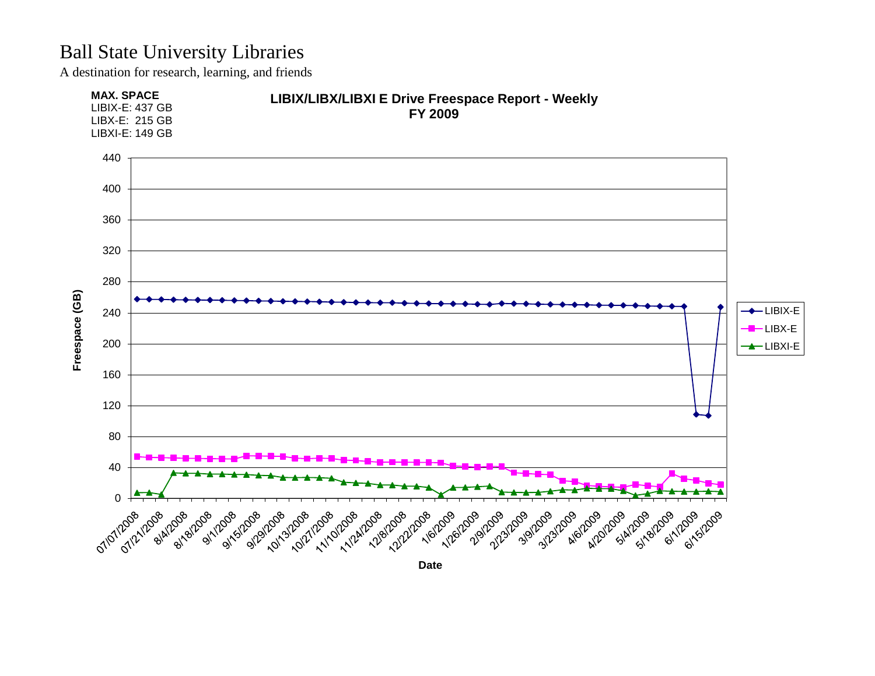A destination for research, learning, and friends

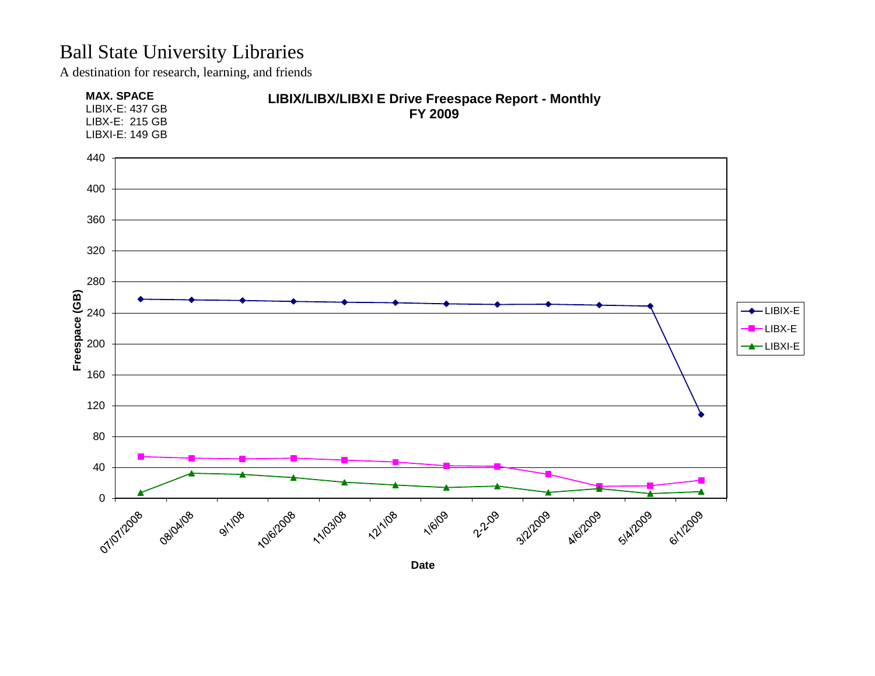A destination for research, learning, and friends

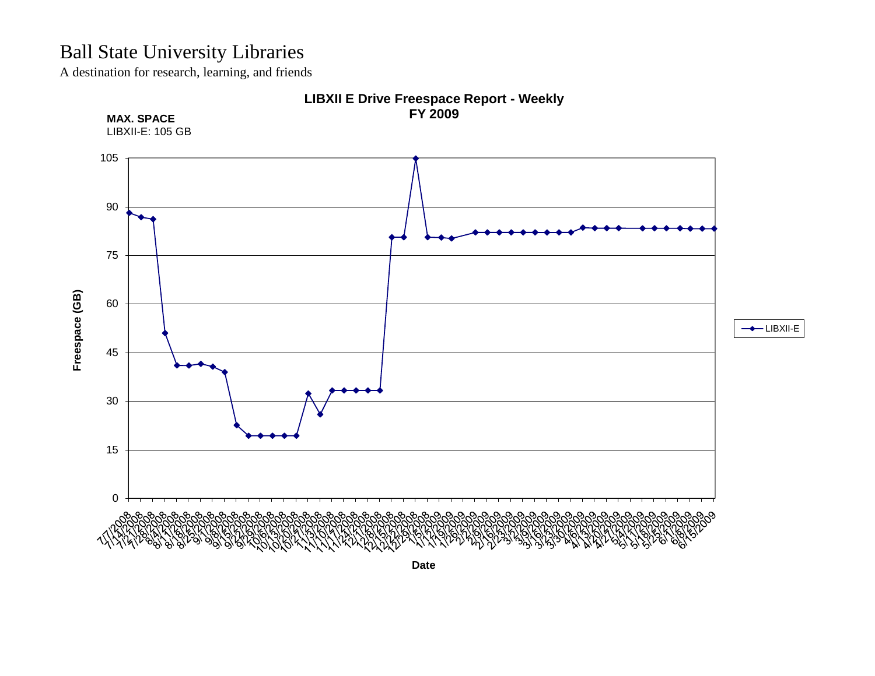A destination for research, learning, and friends